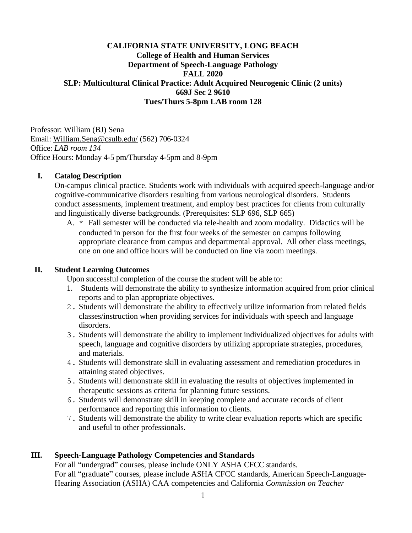## **CALIFORNIA STATE UNIVERSITY, LONG BEACH College of Health and Human Services Department of Speech-Language Pathology FALL 2020 SLP: Multicultural Clinical Practice: Adult Acquired Neurogenic Clinic (2 units) 669J Sec 2 9610 Tues/Thurs 5-8pm LAB room 128**

Professor: William (BJ) Sena Email: [William.Sena@csulb.edu/](mailto:William.Sena@csulb.edu/) (562) 706-0324 Office: *LAB room 134* Office Hours: Monday 4-5 pm/Thursday 4-5pm and 8-9pm

### **I. Catalog Description**

On-campus clinical practice. Students work with individuals with acquired speech-language and/or cognitive-communicative disorders resulting from various neurological disorders. Students conduct assessments, implement treatment, and employ best practices for clients from culturally and linguistically diverse backgrounds. (Prerequisites: SLP 696, SLP 665)

A. \* Fall semester will be conducted via tele-health and zoom modality. Didactics will be conducted in person for the first four weeks of the semester on campus following appropriate clearance from campus and departmental approval. All other class meetings, one on one and office hours will be conducted on line via zoom meetings.

### **II. Student Learning Outcomes**

Upon successful completion of the course the student will be able to:

- 1. Students will demonstrate the ability to synthesize information acquired from prior clinical reports and to plan appropriate objectives.
- 2. Students will demonstrate the ability to effectively utilize information from related fields classes/instruction when providing services for individuals with speech and language disorders.
- 3. Students will demonstrate the ability to implement individualized objectives for adults with speech, language and cognitive disorders by utilizing appropriate strategies, procedures, and materials.
- 4. Students will demonstrate skill in evaluating assessment and remediation procedures in attaining stated objectives.
- 5. Students will demonstrate skill in evaluating the results of objectives implemented in therapeutic sessions as criteria for planning future sessions.
- 6. Students will demonstrate skill in keeping complete and accurate records of client performance and reporting this information to clients.
- 7. Students will demonstrate the ability to write clear evaluation reports which are specific and useful to other professionals.

## **III. Speech-Language Pathology Competencies and Standards**

For all "undergrad" courses, please include ONLY ASHA CFCC standards. For all "graduate" courses, please include ASHA CFCC standards, American Speech-Language-Hearing Association (ASHA) CAA competencies and California *Commission on Teacher*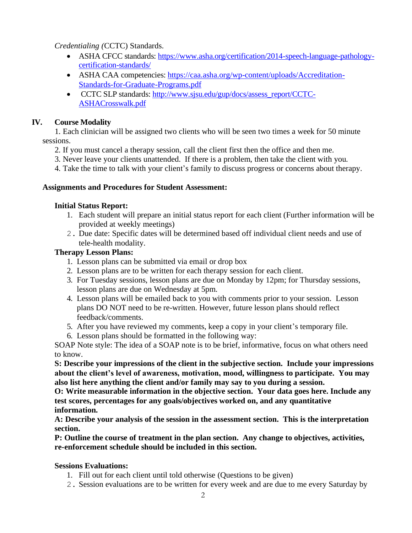*Credentialing (*CCTC) Standards.

- ASHA CFCC standards: [https://www.asha.org/certification/2014-speech-language-pathology](https://www.asha.org/certification/2014-speech-language-pathology-certification-standards/)[certification-standards/](https://www.asha.org/certification/2014-speech-language-pathology-certification-standards/)
- ASHA CAA competencies: [https://caa.asha.org/wp-content/uploads/Accreditation-](https://caa.asha.org/wp-content/uploads/Accreditation-Standards-for-Graduate-Programs.pdf)[Standards-for-Graduate-Programs.pdf](https://caa.asha.org/wp-content/uploads/Accreditation-Standards-for-Graduate-Programs.pdf)
- CCTC SLP standards: http://www.sisu.edu/gup/docs/assess\_report/CCTC-[ASHACrosswalk.pdf](http://www.sjsu.edu/gup/docs/assess_report/CCTC-ASHACrosswalk.pdf)

# **IV. Course Modality**

1. Each clinician will be assigned two clients who will be seen two times a week for 50 minute sessions.

- 2. If you must cancel a therapy session, call the client first then the office and then me.
- 3. Never leave your clients unattended. If there is a problem, then take the client with you.
- 4. Take the time to talk with your client's family to discuss progress or concerns about therapy.

## **Assignments and Procedures for Student Assessment:**

## **Initial Status Report:**

- 1. Each student will prepare an initial status report for each client (Further information will be provided at weekly meetings)
- 2. Due date: Specific dates will be determined based off individual client needs and use of tele-health modality.

# **Therapy Lesson Plans:**

- 1. Lesson plans can be submitted via email or drop box
- 2. Lesson plans are to be written for each therapy session for each client.
- 3. For Tuesday sessions, lesson plans are due on Monday by 12pm; for Thursday sessions, lesson plans are due on Wednesday at 5pm.
- 4. Lesson plans will be emailed back to you with comments prior to your session. Lesson plans DO NOT need to be re-written. However, future lesson plans should reflect feedback/comments.
- 5. After you have reviewed my comments, keep a copy in your client's temporary file.
- 6. Lesson plans should be formatted in the following way:

SOAP Note style: The idea of a SOAP note is to be brief, informative, focus on what others need to know.

**S: Describe your impressions of the client in the subjective section. Include your impressions about the client's level of awareness, motivation, mood, willingness to participate. You may also list here anything the client and/or family may say to you during a session.**

**O: Write measurable information in the objective section. Your data goes here. Include any test scores, percentages for any goals/objectives worked on, and any quantitative information.** 

**A: Describe your analysis of the session in the assessment section. This is the interpretation section.**

**P: Outline the course of treatment in the plan section. Any change to objectives, activities, re-enforcement schedule should be included in this section.**

## **Sessions Evaluations:**

- 1. Fill out for each client until told otherwise (Questions to be given)
- 2. Session evaluations are to be written for every week and are due to me every Saturday by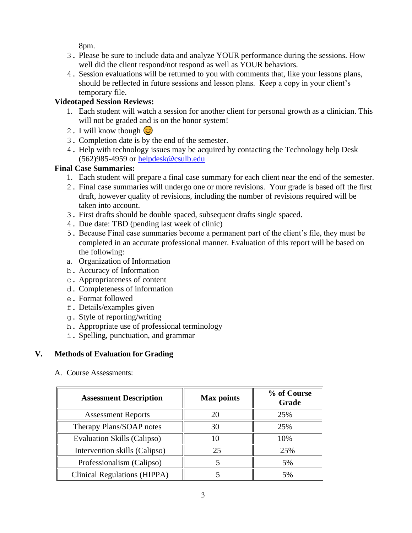8pm.

- 3. Please be sure to include data and analyze YOUR performance during the sessions. How well did the client respond/not respond as well as YOUR behaviors.
- 4. Session evaluations will be returned to you with comments that, like your lessons plans, should be reflected in future sessions and lesson plans. Keep a copy in your client's temporary file.

# **Videotaped Session Reviews:**

- 1. Each student will watch a session for another client for personal growth as a clinician. This will not be graded and is on the honor system!
- 2. I will know though  $\circled{c}$
- 3. Completion date is by the end of the semester.
- 4. Help with technology issues may be acquired by contacting the Technology help Desk (562)985-4959 or [helpdesk@csulb.edu](mailto:helpdesk@csulb.edu)

# **Final Case Summaries:**

- 1. Each student will prepare a final case summary for each client near the end of the semester.
- 2. Final case summaries will undergo one or more revisions. Your grade is based off the first draft, however quality of revisions, including the number of revisions required will be taken into account.
- 3. First drafts should be double spaced, subsequent drafts single spaced.
- 4. Due date: TBD (pending last week of clinic)
- 5. Because Final case summaries become a permanent part of the client's file, they must be completed in an accurate professional manner. Evaluation of this report will be based on the following:
- a. Organization of Information
- b. Accuracy of Information
- c. Appropriateness of content
- d. Completeness of information
- e. Format followed
- f. Details/examples given
- g. Style of reporting/writing
- h. Appropriate use of professional terminology
- i. Spelling, punctuation, and grammar

# **V. Methods of Evaluation for Grading**

A. Course Assessments:

| <b>Assessment Description</b>      | <b>Max points</b> | % of Course<br>Grade |
|------------------------------------|-------------------|----------------------|
| <b>Assessment Reports</b>          | 20                | 25%                  |
| Therapy Plans/SOAP notes           | 30                | 25%                  |
| <b>Evaluation Skills (Calipso)</b> | 10                | 10%                  |
| Intervention skills (Calipso)      | 25                | 25%                  |
| Professionalism (Calipso)          |                   | 5%                   |
| Clinical Regulations (HIPPA)       |                   | 5%                   |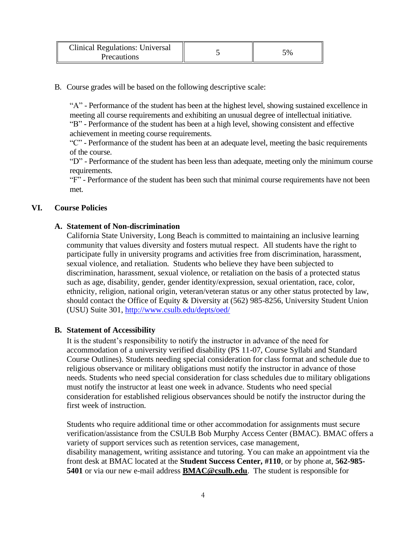| <b>Clinical Regulations: Universal</b><br><b>Precautions</b> |  | 5% |
|--------------------------------------------------------------|--|----|
|--------------------------------------------------------------|--|----|

#### B. Course grades will be based on the following descriptive scale:

"A" - Performance of the student has been at the highest level, showing sustained excellence in meeting all course requirements and exhibiting an unusual degree of intellectual initiative. "B" - Performance of the student has been at a high level, showing consistent and effective achievement in meeting course requirements.

"C" - Performance of the student has been at an adequate level, meeting the basic requirements of the course.

"D" - Performance of the student has been less than adequate, meeting only the minimum course requirements.

"F" - Performance of the student has been such that minimal course requirements have not been met.

#### **VI. Course Policies**

#### **A. Statement of Non-discrimination**

California State University, Long Beach is committed to maintaining an inclusive learning community that values diversity and fosters mutual respect. All students have the right to participate fully in university programs and activities free from discrimination, harassment, sexual violence, and retaliation. Students who believe they have been subjected to discrimination, harassment, sexual violence, or retaliation on the basis of a protected status such as age, disability, gender, gender identity/expression, sexual orientation, race, color, ethnicity, religion, national origin, veteran/veteran status or any other status protected by law, should contact the Office of Equity & Diversity at (562) 985-8256, University Student Union (USU) Suite 301[, http://www.csulb.edu/depts/oed/](http://www.csulb.edu/depts/oed/)

#### **B. Statement of Accessibility**

It is the student's responsibility to notify the instructor in advance of the need for accommodation of a university verified disability (PS 11-07, Course Syllabi and Standard Course Outlines). Students needing special consideration for class format and schedule due to religious observance or military obligations must notify the instructor in advance of those needs. Students who need special consideration for class schedules due to military obligations must notify the instructor at least one week in advance. Students who need special consideration for established religious observances should be notify the instructor during the first week of instruction.

Students who require additional time or other accommodation for assignments must secure verification/assistance from the CSULB Bob Murphy Access Center (BMAC). BMAC offers a variety of support services such as retention services, case management, disability management, writing assistance and tutoring. You can make an appointment via the front desk at BMAC located at the **Student Success Center, #110**, or by phone at, **562-985- 5401** or via our new e-mail address **[BMAC@csulb.edu](mailto:BMAC@csulb.edu)**. The student is responsible for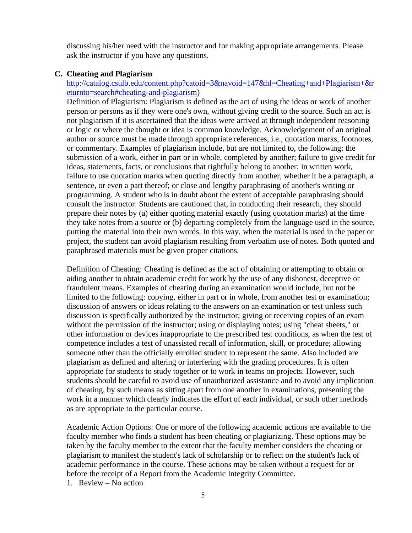discussing his/her need with the instructor and for making appropriate arrangements. Please ask the instructor if you have any questions.

## **C. Cheating and Plagiarism**

## [http://catalog.csulb.edu/content.php?catoid=3&navoid=147&hl=Cheating+and+Plagiarism+&r](http://catalog.csulb.edu/content.php?catoid=3&navoid=147&hl=Cheating+and+Plagiarism+&returnto=search#cheating-and-plagiarism) [eturnto=search#cheating-and-plagiarism\)](http://catalog.csulb.edu/content.php?catoid=3&navoid=147&hl=Cheating+and+Plagiarism+&returnto=search#cheating-and-plagiarism)

Definition of Plagiarism: Plagiarism is defined as the act of using the ideas or work of another person or persons as if they were one's own, without giving credit to the source. Such an act is not plagiarism if it is ascertained that the ideas were arrived at through independent reasoning or logic or where the thought or idea is common knowledge. Acknowledgement of an original author or source must be made through appropriate references, i.e., quotation marks, footnotes, or commentary. Examples of plagiarism include, but are not limited to, the following: the submission of a work, either in part or in whole, completed by another; failure to give credit for ideas, statements, facts, or conclusions that rightfully belong to another; in written work, failure to use quotation marks when quoting directly from another, whether it be a paragraph, a sentence, or even a part thereof; or close and lengthy paraphrasing of another's writing or programming. A student who is in doubt about the extent of acceptable paraphrasing should consult the instructor. Students are cautioned that, in conducting their research, they should prepare their notes by (a) either quoting material exactly (using quotation marks) at the time they take notes from a source or (b) departing completely from the language used in the source, putting the material into their own words. In this way, when the material is used in the paper or project, the student can avoid plagiarism resulting from verbatim use of notes. Both quoted and paraphrased materials must be given proper citations.

Definition of Cheating: Cheating is defined as the act of obtaining or attempting to obtain or aiding another to obtain academic credit for work by the use of any dishonest, deceptive or fraudulent means. Examples of cheating during an examination would include, but not be limited to the following: copying, either in part or in whole, from another test or examination; discussion of answers or ideas relating to the answers on an examination or test unless such discussion is specifically authorized by the instructor; giving or receiving copies of an exam without the permission of the instructor; using or displaying notes; using "cheat sheets," or other information or devices inappropriate to the prescribed test conditions, as when the test of competence includes a test of unassisted recall of information, skill, or procedure; allowing someone other than the officially enrolled student to represent the same. Also included are plagiarism as defined and altering or interfering with the grading procedures. It is often appropriate for students to study together or to work in teams on projects. However, such students should be careful to avoid use of unauthorized assistance and to avoid any implication of cheating, by such means as sitting apart from one another in examinations, presenting the work in a manner which clearly indicates the effort of each individual, or such other methods as are appropriate to the particular course.

Academic Action Options: One or more of the following academic actions are available to the faculty member who finds a student has been cheating or plagiarizing. These options may be taken by the faculty member to the extent that the faculty member considers the cheating or plagiarism to manifest the student's lack of scholarship or to reflect on the student's lack of academic performance in the course. These actions may be taken without a request for or before the receipt of a Report from the Academic Integrity Committee.

1. Review – No action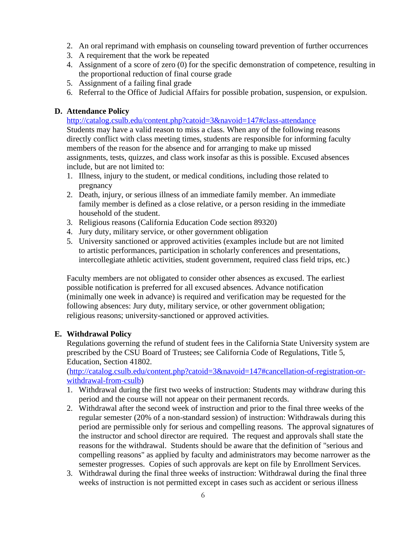- 2. An oral reprimand with emphasis on counseling toward prevention of further occurrences
- 3. A requirement that the work be repeated
- 4. Assignment of a score of zero (0) for the specific demonstration of competence, resulting in the proportional reduction of final course grade
- 5. Assignment of a failing final grade
- 6. Referral to the Office of Judicial Affairs for possible probation, suspension, or expulsion.

# **D. Attendance Policy**

<http://catalog.csulb.edu/content.php?catoid=3&navoid=147#class-attendance>

Students may have a valid reason to miss a class. When any of the following reasons directly conflict with class meeting times, students are responsible for informing faculty members of the reason for the absence and for arranging to make up missed assignments, tests, quizzes, and class work insofar as this is possible. Excused absences include, but are not limited to:

- 1. Illness, injury to the student, or medical conditions, including those related to pregnancy
- 2. Death, injury, or serious illness of an immediate family member. An immediate family member is defined as a close relative, or a person residing in the immediate household of the student.
- 3. Religious reasons (California Education Code section 89320)
- 4. Jury duty, military service, or other government obligation
- 5. University sanctioned or approved activities (examples include but are not limited to artistic performances, participation in scholarly conferences and presentations, intercollegiate athletic activities, student government, required class field trips, etc.)

Faculty members are not obligated to consider other absences as excused. The earliest possible notification is preferred for all excused absences. Advance notification (minimally one week in advance) is required and verification may be requested for the following absences: Jury duty, military service, or other government obligation; religious reasons; university-sanctioned or approved activities.

# **E. Withdrawal Policy**

Regulations governing the refund of student fees in the California State University system are prescribed by the CSU Board of Trustees; see California Code of Regulations, Title 5, Education, Section 41802.

[\(http://catalog.csulb.edu/content.php?catoid=3&navoid=147#cancellation-of-registration-or](http://catalog.csulb.edu/content.php?catoid=3&navoid=147#cancellation-of-registration-or-withdrawal-from-csulb)[withdrawal-from-csulb\)](http://catalog.csulb.edu/content.php?catoid=3&navoid=147#cancellation-of-registration-or-withdrawal-from-csulb)

- 1. Withdrawal during the first two weeks of instruction: Students may withdraw during this period and the course will not appear on their permanent records.
- 2. Withdrawal after the second week of instruction and prior to the final three weeks of the regular semester (20% of a non-standard session) of instruction: Withdrawals during this period are permissible only for serious and compelling reasons. The approval signatures of the instructor and school director are required. The request and approvals shall state the reasons for the withdrawal. Students should be aware that the definition of "serious and compelling reasons" as applied by faculty and administrators may become narrower as the semester progresses. Copies of such approvals are kept on file by Enrollment Services.
- 3. Withdrawal during the final three weeks of instruction: Withdrawal during the final three weeks of instruction is not permitted except in cases such as accident or serious illness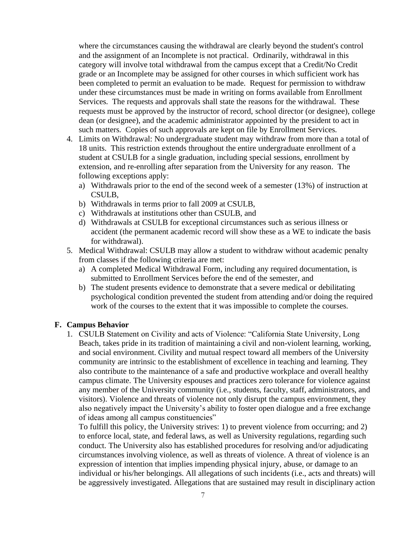where the circumstances causing the withdrawal are clearly beyond the student's control and the assignment of an Incomplete is not practical. Ordinarily, withdrawal in this category will involve total withdrawal from the campus except that a Credit/No Credit grade or an Incomplete may be assigned for other courses in which sufficient work has been completed to permit an evaluation to be made. Request for permission to withdraw under these circumstances must be made in writing on forms available from Enrollment Services. The requests and approvals shall state the reasons for the withdrawal. These requests must be approved by the instructor of record, school director (or designee), college dean (or designee), and the academic administrator appointed by the president to act in such matters. Copies of such approvals are kept on file by Enrollment Services.

- 4. Limits on Withdrawal: No undergraduate student may withdraw from more than a total of 18 units. This restriction extends throughout the entire undergraduate enrollment of a student at CSULB for a single graduation, including special sessions, enrollment by extension, and re-enrolling after separation from the University for any reason. The following exceptions apply:
	- a) Withdrawals prior to the end of the second week of a semester (13%) of instruction at CSULB,
	- b) Withdrawals in terms prior to fall 2009 at CSULB,
	- c) Withdrawals at institutions other than CSULB, and
	- d) Withdrawals at CSULB for exceptional circumstances such as serious illness or accident (the permanent academic record will show these as a WE to indicate the basis for withdrawal).
- 5. Medical Withdrawal: CSULB may allow a student to withdraw without academic penalty from classes if the following criteria are met:
	- a) A completed Medical Withdrawal Form, including any required documentation, is submitted to Enrollment Services before the end of the semester, and
	- b) The student presents evidence to demonstrate that a severe medical or debilitating psychological condition prevented the student from attending and/or doing the required work of the courses to the extent that it was impossible to complete the courses.

### **F. Campus Behavior**

1. CSULB Statement on Civility and acts of Violence: "California State University, Long Beach, takes pride in its tradition of maintaining a civil and non-violent learning, working, and social environment. Civility and mutual respect toward all members of the University community are intrinsic to the establishment of excellence in teaching and learning. They also contribute to the maintenance of a safe and productive workplace and overall healthy campus climate. The University espouses and practices zero tolerance for violence against any member of the University community (i.e., students, faculty, staff, administrators, and visitors). Violence and threats of violence not only disrupt the campus environment, they also negatively impact the University's ability to foster open dialogue and a free exchange of ideas among all campus constituencies"

To fulfill this policy, the University strives: 1) to prevent violence from occurring; and 2) to enforce local, state, and federal laws, as well as University regulations, regarding such conduct. The University also has established procedures for resolving and/or adjudicating circumstances involving violence, as well as threats of violence. A threat of violence is an expression of intention that implies impending physical injury, abuse, or damage to an individual or his/her belongings. All allegations of such incidents (i.e., acts and threats) will be aggressively investigated. Allegations that are sustained may result in disciplinary action